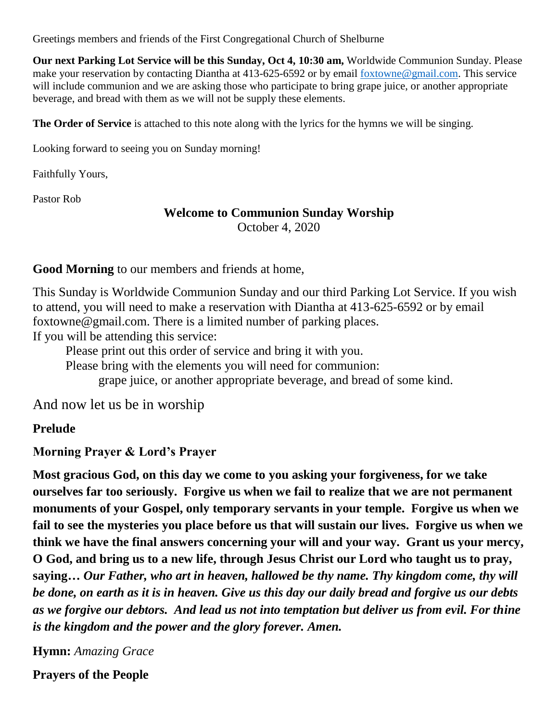Greetings members and friends of the First Congregational Church of Shelburne

**Our next Parking Lot Service will be this Sunday, Oct 4, 10:30 am,** Worldwide Communion Sunday. Please make your reservation by contacting Diantha at 413-625-6592 or by email [foxtowne@gmail.com.](mailto:foxtowne@gmail.com) This service will include communion and we are asking those who participate to bring grape juice, or another appropriate beverage, and bread with them as we will not be supply these elements.

**The Order of Service** is attached to this note along with the lyrics for the hymns we will be singing.

Looking forward to seeing you on Sunday morning!

Faithfully Yours,

Pastor Rob

#### **Welcome to Communion Sunday Worship**

October 4, 2020

**Good Morning** to our members and friends at home,

This Sunday is Worldwide Communion Sunday and our third Parking Lot Service. If you wish to attend, you will need to make a reservation with Diantha at 413-625-6592 or by email foxtowne@gmail.com. There is a limited number of parking places.

If you will be attending this service:

Please print out this order of service and bring it with you.

Please bring with the elements you will need for communion:

grape juice, or another appropriate beverage, and bread of some kind.

And now let us be in worship

**Prelude**

**Morning Prayer & Lord's Prayer** 

**Most gracious God, on this day we come to you asking your forgiveness, for we take ourselves far too seriously. Forgive us when we fail to realize that we are not permanent monuments of your Gospel, only temporary servants in your temple. Forgive us when we fail to see the mysteries you place before us that will sustain our lives. Forgive us when we think we have the final answers concerning your will and your way. Grant us your mercy, O God, and bring us to a new life, through Jesus Christ our Lord who taught us to pray, saying…** *Our Father, who art in heaven, hallowed be thy name. Thy kingdom come, thy will be done, on earth as it is in heaven. Give us this day our daily bread and forgive us our debts as we forgive our debtors. And lead us not into temptation but deliver us from evil. For thine is the kingdom and the power and the glory forever. Amen.*

**Hymn:** *Amazing Grace*

**Prayers of the People**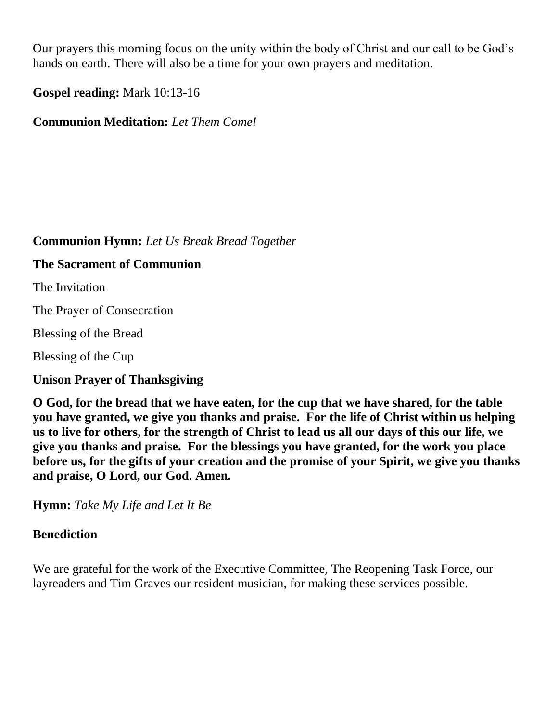Our prayers this morning focus on the unity within the body of Christ and our call to be God's hands on earth. There will also be a time for your own prayers and meditation.

**Gospel reading:** Mark 10:13-16

**Communion Meditation:** *Let Them Come!*

# **Communion Hymn:** *Let Us Break Bread Together*

#### **The Sacrament of Communion**

The Invitation

The Prayer of Consecration

Blessing of the Bread

Blessing of the Cup

**Unison Prayer of Thanksgiving** 

**O God, for the bread that we have eaten, for the cup that we have shared, for the table you have granted, we give you thanks and praise. For the life of Christ within us helping us to live for others, for the strength of Christ to lead us all our days of this our life, we give you thanks and praise. For the blessings you have granted, for the work you place before us, for the gifts of your creation and the promise of your Spirit, we give you thanks and praise, O Lord, our God. Amen.**

**Hymn:** *Take My Life and Let It Be*

# **Benediction**

We are grateful for the work of the Executive Committee, The Reopening Task Force, our layreaders and Tim Graves our resident musician, for making these services possible.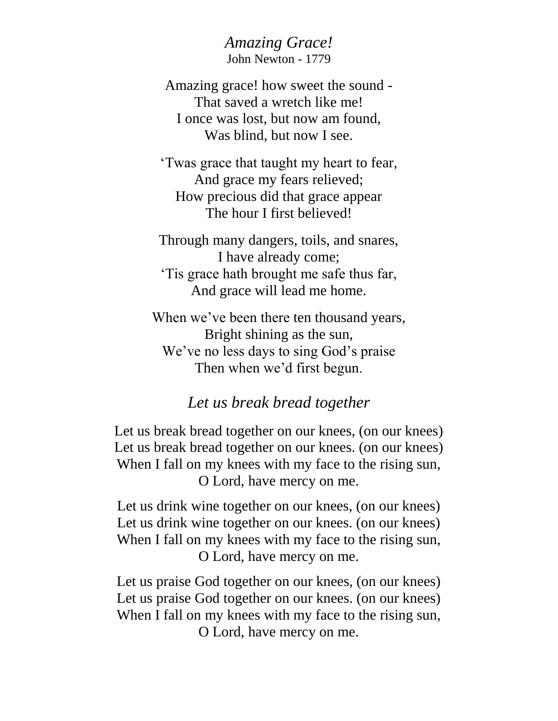*Amazing Grace!* John Newton - 1779

Amazing grace! how sweet the sound - That saved a wretch like me! I once was lost, but now am found, Was blind, but now I see.

'Twas grace that taught my heart to fear, And grace my fears relieved; How precious did that grace appear The hour I first believed!

Through many dangers, toils, and snares, I have already come; 'Tis grace hath brought me safe thus far, And grace will lead me home.

When we've been there ten thousand years, Bright shining as the sun, We've no less days to sing God's praise Then when we'd first begun.

# *Let us break bread together*

Let us break bread together on our knees, (on our knees) Let us break bread together on our knees. (on our knees) When I fall on my knees with my face to the rising sun, O Lord, have mercy on me.

Let us drink wine together on our knees, (on our knees) Let us drink wine together on our knees. (on our knees) When I fall on my knees with my face to the rising sun, O Lord, have mercy on me.

Let us praise God together on our knees, (on our knees) Let us praise God together on our knees. (on our knees) When I fall on my knees with my face to the rising sun, O Lord, have mercy on me.